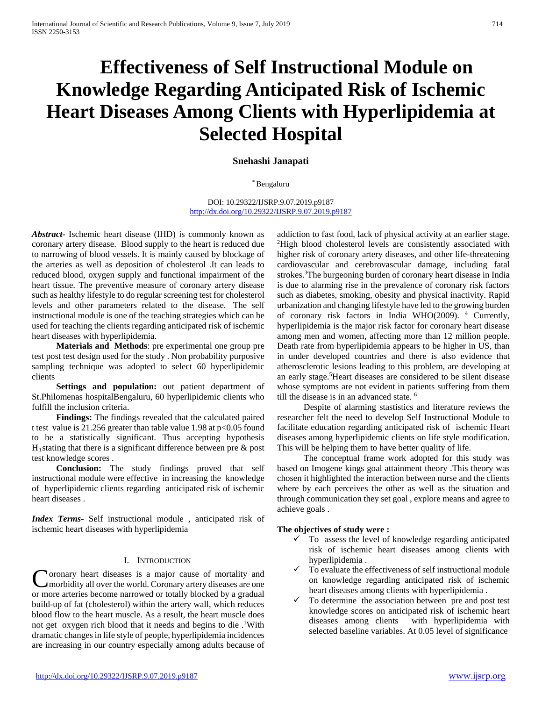# **Effectiveness of Self Instructional Module on Knowledge Regarding Anticipated Risk of Ischemic Heart Diseases Among Clients with Hyperlipidemia at Selected Hospital**

# **Snehashi Janapati**

#### \* Bengaluru

#### DOI: 10.29322/IJSRP.9.07.2019.p9187 <http://dx.doi.org/10.29322/IJSRP.9.07.2019.p9187>

*Abstract***-** Ischemic heart disease (IHD) is commonly known as coronary artery disease. Blood supply to the heart is reduced due to narrowing of blood vessels. It is mainly caused by blockage of the arteries as well as deposition of cholesterol .It can leads to reduced blood, oxygen supply and functional impairment of the heart tissue. The preventive measure of coronary artery disease such as healthy lifestyle to do regular screening test for cholesterol levels and other parameters related to the disease. The self instructional module is one of the teaching strategies which can be used for teaching the clients regarding anticipated risk of ischemic heart diseases with hyperlipidemia.

 **Materials and Methods**: pre experimental one group pre test post test design used for the study . Non probability purposive sampling technique was adopted to select 60 hyperlipidemic clients

 **Settings and population:** out patient department of St.Philomenas hospitalBengaluru, 60 hyperlipidemic clients who fulfill the inclusion criteria.

 **Findings:** The findings revealed that the calculated paired t test value is 21.256 greater than table value 1.98 at p<0.05 found to be a statistically significant. Thus accepting hypothesis  $H_1$ stating that there is a significant difference between pre  $\&$  post test knowledge scores .

 **Conclusion:** The study findings proved that self instructional module were effective in increasing the knowledge of hyperlipidemic clients regarding anticipated risk of ischemic heart diseases .

*Index Terms*- Self instructional module , anticipated risk of ischemic heart diseases with hyperlipidemia

#### I. INTRODUCTION

oronary heart diseases is a major cause of mortality and morbidity all over the world. Coronary artery diseases are one Coronary heart diseases is a major cause of mortality and morbidity all over the world. Coronary artery diseases are one or more arteries become narrowed or totally blocked by a gradual build-up of fat (cholesterol) within the artery wall, which reduces blood flow to the heart muscle. As a result, the heart muscle does not get oxygen rich blood that it needs and begins to die .<sup>1</sup>With dramatic changes in life style of people, hyperlipidemia incidences are increasing in our country especially among adults because of

addiction to fast food, lack of physical activity at an earlier stage. 2 High blood cholesterol levels are consistently associated with higher risk of coronary artery diseases, and other life-threatening cardiovascular and cerebrovascular damage, including fatal strokes.<sup>3</sup>The burgeoning burden of coronary heart disease in India is due to alarming rise in the prevalence of coronary risk factors such as diabetes, smoking, obesity and physical inactivity. Rapid urbanization and changing lifestyle have led to the growing burden of coronary risk factors in India WHO(2009). 4 Currently, hyperlipidemia is the major risk factor for coronary heart disease among men and women, affecting more than 12 million people. Death rate from hyperlipidemia appears to be higher in US, than in under developed countries and there is also evidence that atherosclerotic lesions leading to this problem, are developing at an early stage.<sup>5</sup> Heart diseases are considered to be silent disease whose symptoms are not evident in patients suffering from them till the disease is in an advanced state.<sup>6</sup>

 Despite of alarming stastistics and literature reviews the researcher felt the need to develop Self Instructional Module to facilitate education regarding anticipated risk of ischemic Heart diseases among hyperlipidemic clients on life style modification. This will be helping them to have better quality of life.

 The conceptual frame work adopted for this study was based on Imogene kings goal attainment theory .This theory was chosen it highlighted the interaction between nurse and the clients where by each perceives the other as well as the situation and through communication they set goal , explore means and agree to achieve goals .

#### **The objectives of study were :**

- To assess the level of knowledge regarding anticipated risk of ischemic heart diseases among clients with hyperlipidemia .
- $\checkmark$  To evaluate the effectiveness of self instructional module on knowledge regarding anticipated risk of ischemic heart diseases among clients with hyperlipidemia .
- $\checkmark$  To determine the association between pre and post test knowledge scores on anticipated risk of ischemic heart diseases among clients with hyperlipidemia with selected baseline variables. At 0.05 level of significance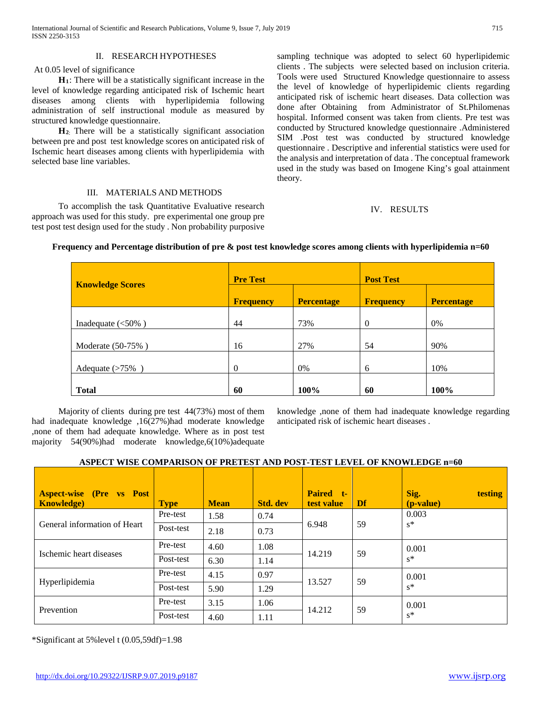## II. RESEARCH HYPOTHESES

#### At 0.05 level of significance

 **H1**: There will be a statistically significant increase in the level of knowledge regarding anticipated risk of Ischemic heart diseases among clients with hyperlipidemia following administration of self instructional module as measured by structured knowledge questionnaire.

 **H2**: There will be a statistically significant association between pre and post test knowledge scores on anticipated risk of Ischemic heart diseases among clients with hyperlipidemia with selected base line variables.

#### III. MATERIALS AND METHODS

 To accomplish the task Quantitative Evaluative research approach was used for this study. pre experimental one group pre test post test design used for the study . Non probability purposive

sampling technique was adopted to select 60 hyperlipidemic clients . The subjects were selected based on inclusion criteria. Tools were used Structured Knowledge questionnaire to assess the level of knowledge of hyperlipidemic clients regarding anticipated risk of ischemic heart diseases. Data collection was done after Obtaining from Administrator of St.Philomenas hospital. Informed consent was taken from clients. Pre test was conducted by Structured knowledge questionnaire .Administered SIM .Post test was conducted by structured knowledge questionnaire . Descriptive and inferential statistics were used for the analysis and interpretation of data . The conceptual framework used in the study was based on Imogene King's goal attainment theory.

#### IV. RESULTS

| <b>Knowledge Scores</b>           | <b>Pre Test</b>  |                   | <b>Post Test</b> |                   |  |  |
|-----------------------------------|------------------|-------------------|------------------|-------------------|--|--|
|                                   | <b>Frequency</b> | <b>Percentage</b> | <b>Frequency</b> | <b>Percentage</b> |  |  |
| Inadequate $\left( <50\% \right)$ | 44               | 73%               | $\overline{0}$   | 0%                |  |  |
| Moderate (50-75%)                 | 16               | 27%               | 54               | 90%               |  |  |
| Adequate $(>75\%)$                | $\Omega$         | 0%                | 6                | 10%               |  |  |
| <b>Total</b>                      | 60               | 100%              | 60               | 100%              |  |  |

## **Frequency and Percentage distribution of pre & post test knowledge scores among clients with hyperlipidemia n=60**

 Majority of clients during pre test 44(73%) most of them had inadequate knowledge ,16(27%)had moderate knowledge ,none of them had adequate knowledge. Where as in post test majority 54(90%)had moderate knowledge,6(10%)adequate

knowledge ,none of them had inadequate knowledge regarding anticipated risk of ischemic heart diseases .

## **ASPECT WISE COMPARISON OF PRETEST AND POST-TEST LEVEL OF KNOWLEDGE n=60**

| <b>Aspect-wise (Pre vs Post)</b><br><b>Knowledge</b> ) | <b>Type</b> | <b>Mean</b> | <b>Std.</b> dev | Paired t-<br>test value | Df | Sig.<br>testing<br>( <i>p</i> -value) |
|--------------------------------------------------------|-------------|-------------|-----------------|-------------------------|----|---------------------------------------|
| General information of Heart                           | Pre-test    | 1.58        | 0.74            |                         | 59 | 0.003                                 |
|                                                        | Post-test   | 2.18        | 0.73            | 6.948                   |    | $s^*$                                 |
|                                                        | Pre-test    | 4.60        | 1.08            | 14.219                  | 59 | 0.001                                 |
| Ischemic heart diseases                                | Post-test   | 6.30        | 1.14            |                         |    | $s^*$                                 |
|                                                        | Pre-test    | 4.15        | 0.97            | 13.527                  | 59 | 0.001                                 |
| Hyperlipidemia                                         | Post-test   | 5.90        | 1.29            |                         |    | $s^*$                                 |
| Prevention                                             | Pre-test    | 3.15        | 1.06            |                         |    | 0.001                                 |
|                                                        | Post-test   | 4.60        | 1.11            | 14.212                  | 59 | $s^*$                                 |

\*Significant at 5%level t (0.05,59df)=1.98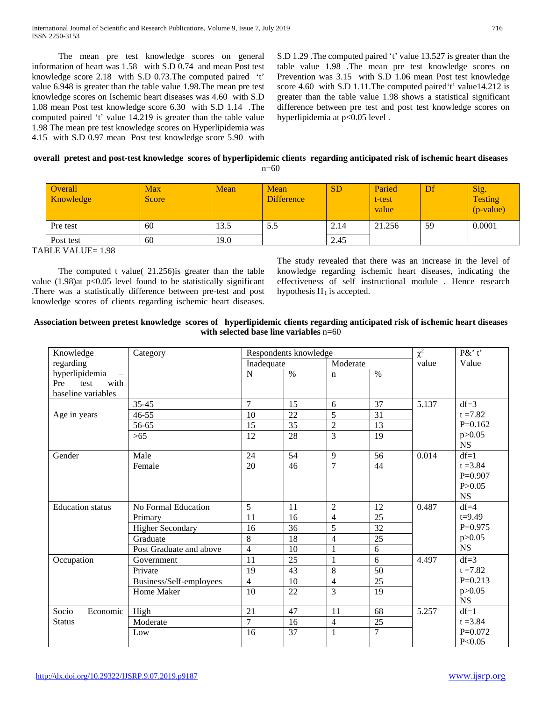The mean pre test knowledge scores on general information of heart was 1.58 with S.D 0.74 and mean Post test knowledge score 2.18 with S.D 0.73.The computed paired 't' value 6.948 is greater than the table value 1.98.The mean pre test knowledge scores on Ischemic heart diseases was 4.60 with S.D 1.08 mean Post test knowledge score 6.30 with S.D 1.14 .The computed paired 't' value 14.219 is greater than the table value 1.98 The mean pre test knowledge scores on Hyperlipidemia was 4.15 with S.D 0.97 mean Post test knowledge score 5.90 with

S.D 1.29 .The computed paired 't' value 13.527 is greater than the table value 1.98 .The mean pre test knowledge scores on Prevention was 3.15 with S.D 1.06 mean Post test knowledge score 4.60 with S.D 1.11. The computed paired 't' value14.212 is greater than the table value 1.98 shows a statistical significant difference between pre test and post test knowledge scores on hyperlipidemia at p<0.05 level .

#### **overall pretest and post-test knowledge scores of hyperlipidemic clients regarding anticipated risk of ischemic heart diseases** ናበ

|  | ٠<br>M.<br>I |
|--|--------------|
|  |              |

| <b>Overall</b><br>Knowledge | Max<br>Score | Mean | Mean<br><b>Difference</b> | <b>SD</b> | Paried<br>t-test<br>value | Df | Sig.<br><b>Testing</b><br>(p-value) |
|-----------------------------|--------------|------|---------------------------|-----------|---------------------------|----|-------------------------------------|
| Pre test                    | 60           | 13.5 | 5.5                       | 2.14      | 21.256                    | 59 | 0.0001                              |
| Post test                   | 60           | 19.0 |                           | 2.45      |                           |    |                                     |

TABLE VALUE= 1.98

 The computed t value( 21.256)is greater than the table value  $(1.98)$ at p< $0.05$  level found to be statistically significant .There was a statistically difference between pre-test and post knowledge scores of clients regarding ischemic heart diseases.

The study revealed that there was an increase in the level of knowledge regarding ischemic heart diseases, indicating the effectiveness of self instructional module . Hence research hypothesis  $H_1$  is accepted.

# **Association between pretest knowledge scores of hyperlipidemic clients regarding anticipated risk of ischemic heart diseases with selected base line variables** n=60

| Knowledge               | Category                | Respondents knowledge |      |                |                | $\chi^2$<br>P&' t' |            |
|-------------------------|-------------------------|-----------------------|------|----------------|----------------|--------------------|------------|
| regarding               |                         | Inadequate            |      | Moderate       |                | value              | Value      |
| hyperlipidemia          |                         | $\mathbf N$           | $\%$ | $\mathbf n$    | $\%$           |                    |            |
| Pre<br>test<br>with     |                         |                       |      |                |                |                    |            |
| baseline variables      |                         |                       |      |                |                |                    |            |
|                         | $35 - 45$               | $\overline{7}$        | 15   | 6              | 37             | 5.137              | $df=3$     |
| Age in years            | $46 - 55$               | 10                    | 22   | 5              | 31             |                    | $t = 7.82$ |
|                         | 56-65                   | 15                    | 35   | $\overline{2}$ | 13             |                    | $P=0.162$  |
|                         | >65                     | 12                    | 28   | 3              | 19             |                    | p > 0.05   |
|                         |                         |                       |      |                |                |                    | <b>NS</b>  |
| Gender                  | Male                    | 24                    | 54   | 9              | 56             | 0.014              | $df=1$     |
|                         | Female                  | 20                    | 46   | 7              | 44             |                    | $t = 3.84$ |
|                         |                         |                       |      |                |                |                    | $P=0.907$  |
|                         |                         |                       |      |                |                |                    | P > 0.05   |
|                         |                         |                       |      |                |                |                    | <b>NS</b>  |
| <b>Education</b> status | No Formal Education     | 5                     | 11   | $\overline{2}$ | 12             | 0.487              | $df=4$     |
|                         | Primary                 | 11                    | 16   | 4              | 25             |                    | $t = 9.49$ |
|                         | <b>Higher Secondary</b> | 16                    | 36   | 5              | 32             |                    | $P=0.975$  |
|                         | Graduate                | 8                     | 18   | 4              | 25             |                    | p > 0.05   |
|                         | Post Graduate and above | $\overline{4}$        | 10   | $\mathbf{1}$   | 6              |                    | <b>NS</b>  |
| Occupation              | Government              | 11                    | 25   | 1              | 6              | 4.497              | $df=3$     |
|                         | Private                 | $\overline{19}$       | 43   | 8              | 50             |                    | $t = 7.82$ |
|                         | Business/Self-employees | $\overline{4}$        | 10   | 4              | 25             |                    | $P=0.213$  |
|                         | Home Maker              | 10                    | 22   | 3              | 19             |                    | p > 0.05   |
|                         |                         |                       |      |                |                |                    | <b>NS</b>  |
| Socio<br>Economic       | High                    | 21                    | 47   | 11             | 68             | 5.257              | $df=1$     |
| <b>Status</b>           | Moderate                | $\overline{7}$        | 16   | 4              | 25             |                    | $t = 3.84$ |
|                         | Low                     | 16                    | 37   | $\mathbf{1}$   | $\overline{7}$ |                    | $P=0.072$  |
|                         |                         |                       |      |                |                |                    | P < 0.05   |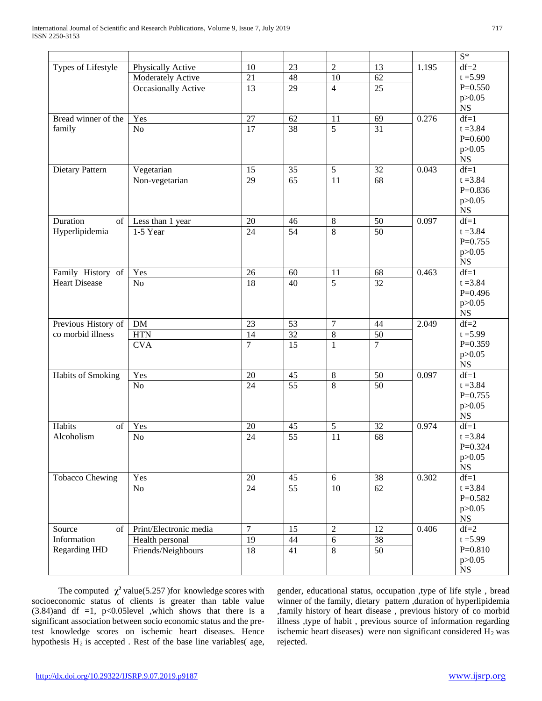|                        |                              |                  |                 |                 |                 |       | $S^*$                 |
|------------------------|------------------------------|------------------|-----------------|-----------------|-----------------|-------|-----------------------|
| Types of Lifestyle     | Physically Active            | 10               | 23              | $\overline{2}$  | 13              | 1.195 | $df=2$                |
|                        | Moderately Active            | 21               | 48              | $10\,$          | 62              |       | $t = 5.99$            |
|                        | Occasionally Active          | $\overline{13}$  | 29              | $\overline{4}$  | 25              |       | $P=0.550$             |
|                        |                              |                  |                 |                 |                 |       | p > 0.05              |
|                        |                              |                  |                 |                 |                 |       | $_{\rm NS}$           |
| Bread winner of the    | Yes                          | 27               | 62              | 11              | 69              | 0.276 | $df=1$                |
| family                 | No                           | $\overline{17}$  | 38              | $\overline{5}$  | $\overline{31}$ |       | $t = 3.84$            |
|                        |                              |                  |                 |                 |                 |       | $P=0.600$             |
|                        |                              |                  |                 |                 |                 |       | p > 0.05              |
| Dietary Pattern        |                              | 15               | 35              | 5               | 32              | 0.043 | $_{\rm NS}$<br>$df=1$ |
|                        | Vegetarian<br>Non-vegetarian | $\overline{29}$  | $\overline{65}$ | $\overline{11}$ | $\overline{68}$ |       | $t = 3.84$            |
|                        |                              |                  |                 |                 |                 |       | $P=0.836$             |
|                        |                              |                  |                 |                 |                 |       | p > 0.05              |
|                        |                              |                  |                 |                 |                 |       | <b>NS</b>             |
| Duration<br>of         | Less than 1 year             | $20\,$           | 46              | $\,8\,$         | 50              | 0.097 | $df=1$                |
| Hyperlipidemia         | 1-5 Year                     | 24               | $\overline{54}$ | $\overline{8}$  | $\overline{50}$ |       | $t = 3.84$            |
|                        |                              |                  |                 |                 |                 |       | $P=0.755$             |
|                        |                              |                  |                 |                 |                 |       | p > 0.05              |
|                        |                              |                  |                 |                 |                 |       | $_{\rm NS}$           |
| Family History of      | Yes                          | 26               | 60              | 11              | 68              | 0.463 | $df=1$                |
| <b>Heart Disease</b>   | N <sub>o</sub>               | $\overline{18}$  | 40              | $\overline{5}$  | 32              |       | $t = 3.84$            |
|                        |                              |                  |                 |                 |                 |       | $P=0.496$             |
|                        |                              |                  |                 |                 |                 |       | p > 0.05<br>NS        |
| Previous History of    | DM                           | 23               | 53              | $\overline{7}$  | 44              | 2.049 | $df=2$                |
| co morbid illness      | <b>HTN</b>                   | $\overline{14}$  | 32              | 8               | 50              |       | $t = 5.99$            |
|                        | <b>CVA</b>                   | $\overline{7}$   | $\overline{15}$ | $\mathbf{1}$    | $\overline{7}$  |       | $P=0.359$             |
|                        |                              |                  |                 |                 |                 |       | p > 0.05              |
|                        |                              |                  |                 |                 |                 |       | <b>NS</b>             |
| Habits of Smoking      | Yes                          | $20\,$           | 45              | $\,8\,$         | 50              | 0.097 | $df=1$                |
|                        | No                           | 24               | $\overline{55}$ | $\overline{8}$  | $\overline{50}$ |       | $t = 3.84$            |
|                        |                              |                  |                 |                 |                 |       | $P=0.755$             |
|                        |                              |                  |                 |                 |                 |       | p > 0.05              |
|                        |                              |                  |                 |                 |                 |       | $_{\rm NS}$           |
| Habits<br>of           | Yes                          | $20\,$           | $45\,$          | $\sqrt{5}$      | 32              | 0.974 | $df=1$                |
| Alcoholism             | No                           | $\overline{24}$  | $\overline{55}$ | 11              | 68              |       | $t = 3.84$            |
|                        |                              |                  |                 |                 |                 |       | $P=0.324$<br>p > 0.05 |
|                        |                              |                  |                 |                 |                 |       | NS                    |
| <b>Tobacco Chewing</b> | Yes                          | 20               | 45              | 6               | 38              | 0.302 | $df=1$                |
|                        | No                           | 24               | $\overline{55}$ | 10              | 62              |       | $t = 3.84$            |
|                        |                              |                  |                 |                 |                 |       | $P=0.582$             |
|                        |                              |                  |                 |                 |                 |       | p > 0.05              |
|                        |                              |                  |                 |                 |                 |       | <b>NS</b>             |
| Source<br>of           | Print/Electronic media       | $\boldsymbol{7}$ | 15              | $\sqrt{2}$      | 12              | 0.406 | $df=2$                |
| Information            | Health personal              | 19               | $44\,$          | $\sqrt{6}$      | $\overline{38}$ |       | $t = 5.99$            |
| <b>Regarding IHD</b>   | Friends/Neighbours           | 18               | 41              | $\overline{8}$  | 50              |       | $P=0.810$             |
|                        |                              |                  |                 |                 |                 |       | p > 0.05              |
|                        |                              |                  |                 |                 |                 |       | $_{\rm NS}$           |

The computed  $\chi^2$  value(5.257) for knowledge scores with socioeconomic status of clients is greater than table value  $(3.84)$ and df =1, p<0.05level ,which shows that there is a significant association between socio economic status and the pretest knowledge scores on ischemic heart diseases. Hence hypothesis  $H_2$  is accepted . Rest of the base line variables( age, gender, educational status, occupation ,type of life style , bread winner of the family, dietary pattern ,duration of hyperlipidemia ,family history of heart disease , previous history of co morbid illness ,type of habit , previous source of information regarding ischemic heart diseases) were non significant considered  $H_2$  was rejected.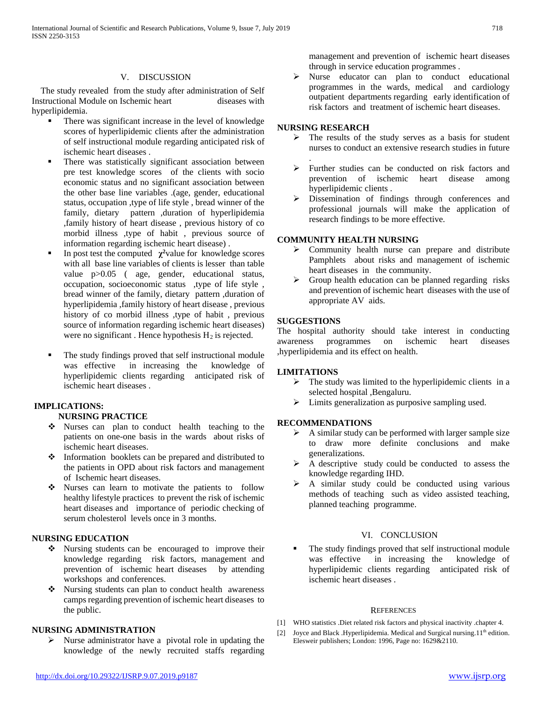#### V. DISCUSSION

 The study revealed from the study after administration of Self Instructional Module on Ischemic heart diseases with hyperlipidemia.

- There was significant increase in the level of knowledge scores of hyperlipidemic clients after the administration of self instructional module regarding anticipated risk of ischemic heart diseases .
- There was statistically significant association between pre test knowledge scores of the clients with socio economic status and no significant association between the other base line variables .(age, gender, educational status, occupation ,type of life style , bread winner of the family, dietary pattern ,duration of hyperlipidemia ,family history of heart disease , previous history of co morbid illness ,type of habit , previous source of information regarding ischemic heart disease) .
- In post test the computed  $\chi^2$  value for knowledge scores with all base line variables of clients is lesser than table value p>0.05 ( age, gender, educational status, occupation, socioeconomic status ,type of life style , bread winner of the family, dietary pattern ,duration of hyperlipidemia ,family history of heart disease , previous history of co morbid illness ,type of habit , previous source of information regarding ischemic heart diseases) were no significant. Hence hypothesis  $H_2$  is rejected.
- The study findings proved that self instructional module was effective in increasing the knowledge of hyperlipidemic clients regarding anticipated risk of ischemic heart diseases .

# **IMPLICATIONS:**

# **NURSING PRACTICE**

- Nurses can plan to conduct health teaching to the patients on one-one basis in the wards about risks of ischemic heart diseases.
- Information booklets can be prepared and distributed to the patients in OPD about risk factors and management of Ischemic heart diseases.
- Nurses can learn to motivate the patients to follow healthy lifestyle practices to prevent the risk of ischemic heart diseases and importance of periodic checking of serum cholesterol levels once in 3 months.

# **NURSING EDUCATION**

- Nursing students can be encouraged to improve their knowledge regarding risk factors, management and prevention of ischemic heart diseases by attending workshops and conferences.
- Nursing students can plan to conduct health awareness camps regarding prevention of ischemic heart diseases to the public.

#### **NURSING ADMINISTRATION**

 $\triangleright$  Nurse administrator have a pivotal role in updating the knowledge of the newly recruited staffs regarding management and prevention of ischemic heart diseases through in service education programmes .

 $\triangleright$  Nurse educator can plan to conduct educational programmes in the wards, medical and cardiology outpatient departments regarding early identification of risk factors and treatment of ischemic heart diseases.

# **NURSING RESEARCH**

- $\triangleright$  The results of the study serves as a basis for student nurses to conduct an extensive research studies in future
- .  $\triangleright$  Further studies can be conducted on risk factors and prevention of ischemic heart disease among hyperlipidemic clients .
- Dissemination of findings through conferences and professional journals will make the application of research findings to be more effective.

# **COMMUNITY HEALTH NURSING**

- $\triangleright$  Community health nurse can prepare and distribute Pamphlets about risks and management of ischemic heart diseases in the community.
- $\triangleright$  Group health education can be planned regarding risks and prevention of ischemic heart diseases with the use of appropriate AV aids.

## **SUGGESTIONS**

The hospital authority should take interest in conducting awareness programmes on ischemic heart diseases ,hyperlipidemia and its effect on health.

#### **LIMITATIONS**

- $\triangleright$  The study was limited to the hyperlipidemic clients in a selected hospital ,Bengaluru.
- Limits generalization as purposive sampling used.

#### **RECOMMENDATIONS**

- $\triangleright$  A similar study can be performed with larger sample size to draw more definite conclusions and make generalizations.
- $\triangleright$  A descriptive study could be conducted to assess the knowledge regarding IHD.
- $\triangleright$  A similar study could be conducted using various methods of teaching such as video assisted teaching, planned teaching programme.

# VI. CONCLUSION

 The study findings proved that self instructional module was effective in increasing the knowledge of hyperlipidemic clients regarding anticipated risk of ischemic heart diseases .

#### **REFERENCES**

- [1] WHO statistics .Diet related risk factors and physical inactivity .chapter 4.
- [2] Joyce and Black .Hyperlipidemia. Medical and Surgical nursing.11<sup>th</sup> edition. Elesweir publishers; London: 1996, Page no: 1629&2110.